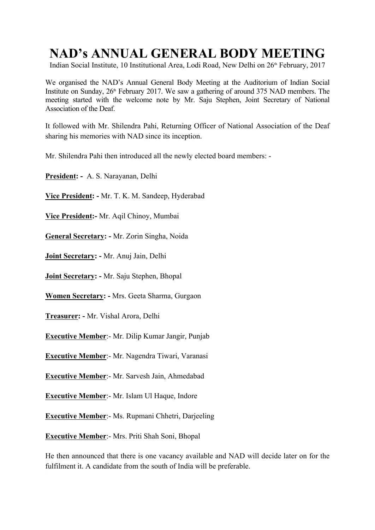# **NAD's ANNUAL GENERAL BODY MEETING**

Indian Social Institute, 10 Institutional Area, Lodi Road, New Delhi on 26<sup>th</sup> February, 2017

We organised the NAD's Annual General Body Meeting at the Auditorium of Indian Social Institute on Sunday, 26<sup>th</sup> February 2017. We saw a gathering of around 375 NAD members. The meeting started with the welcome note by Mr. Saju Stephen, Joint Secretary of National Association of the Deaf.<br>It followed with Mr. Shilendra Pahi, Returning Officer of National Association of the Deaf

sharing his memories with NAD since its inception.

Mr. Shilendra Pahi then introduced all the newly elected board members: -

**President: -** A. S. Narayanan, Delhi

**Vice President: -** Mr. T. K. M. Sandeep, Hyderabad

**Vice President:-** Mr. Aqil Chinoy, Mumbai

**General Secretary: -** Mr. Zorin Singha, Noida

**Joint Secretary: -** Mr. Anuj Jain, Delhi

**Joint Secretary: -** Mr. Saju Stephen, Bhopal

**Women Secretary: -** Mrs. Geeta Sharma, Gurgaon

**Treasurer: -** Mr. Vishal Arora, Delhi

**Executive Member**:- Mr. Dilip Kumar Jangir, Punjab

**Executive Member**:- Mr. Nagendra Tiwari, Varanasi

**Executive Member**:- Mr. Sarvesh Jain, Ahmedabad

**Executive Member**:- Mr. Islam Ul Haque, Indore

**Executive Member**:- Ms. Rupmani Chhetri, Darjeeling

**Executive Member**:- Mrs. Priti Shah Soni, Bhopal

He then announced that there is one vacancy available and NAD will decide later on for the fulfilment it. A candidate from the south of India will be preferable.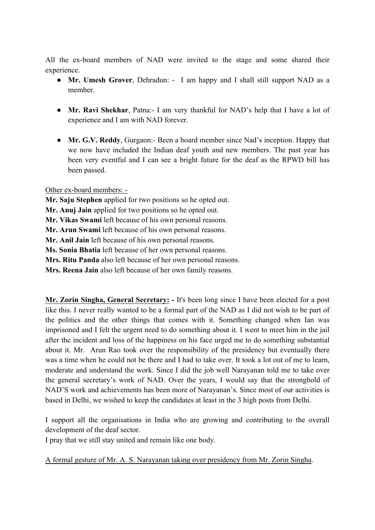All the ex-board members of NAD were invited to the stage and some shared their experience.

- **Mr. Umesh Grover**, Dehradun: I am happy and I shall still support NAD as a member.
- **Mr. Ravi Shekhar**, Patna:- I am very thankful for NAD's help that I have a lot of experience and I am with NAD forever.
- **Mr. G.V. Reddy**, Gurgaon:- Been a board member since Nad's inception. Happy that we now have included the Indian deaf youth and new members. The past year has been very eventful and I can see a bright future for the deaf as the RPWD bill has been passed.

#### Other ex-board members: -

**Mr. Saju Stephen** applied for two positions so he opted out. **Mr. Anuj Jain** applied for two positions so he opted out. **Mr. Vikas Swami** left because of his own personal reasons. **Mr. Arun Swami** left because of his own personal reasons. **Mr. Anil Jain** left because of his own personal reasons. **Ms. Sonia Bhatia** left because of her own personal reasons. **Mrs. Ritu Panda** also left because of her own personal reasons. **Mrs. Reena Jain** also left because of her own family reasons.

**Mr. Zorin Singha, General Secretary: -** It's been long since I have been elected for a post like this. I never really wanted to be a formal part of the NAD as I did not wish to be part of the politics and the other things that comes with it. Something changed when Ian was imprisoned and I felt the urgent need to do something about it. I went to meet him in the jail after the incident and loss of the happiness on his face urged me to do something substantial about it. Mr. Arun Rao took over the responsibility of the presidency but eventually there was a time when he could not be there and I had to take over. It took a lot out of me to learn, moderate and understand the work. Since I did the job well Narayanan told me to take over the general secretary's work of NAD. Over the years, I would say that the stronghold of NAD'S work and achievements has been more of Narayanan's. Since most of our activities is based in Delhi, we wished to keep the candidates at least in the 3 high posts from Delhi.

I support all the organisations in India who are growing and contributing to the overall development of the deaf sector.

I pray that we still stay united and remain like one body.

A formal gesture of Mr. A. S. Narayanan taking over presidency from Mr. Zorin Singha.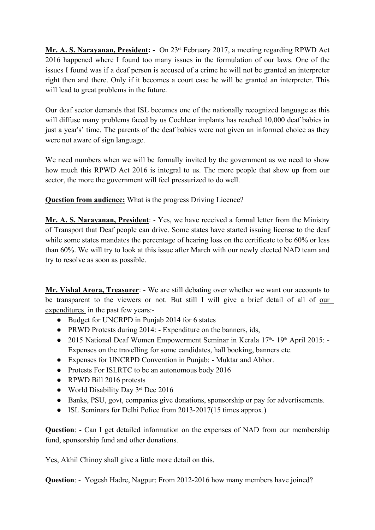**Mr. A. S. Narayanan, President: -** On 23rd February 2017, a meeting regarding RPWD Act 2016 happened where I found too many issues in the formulation of our laws. One of the issues I found was if a deaf person is accused of a crime he will not be granted an interpreter right then and there. Only if it becomes a court case he will be granted an interpreter. This will lead to great problems in the future.

Our deaf sector demands that ISL becomes one of the nationally recognized language as this will diffuse many problems faced by us Cochlear implants has reached 10,000 deaf babies in just a year's' time. The parents of the deaf babies were not given an informed choice as they were not aware of sign language.

We need numbers when we will be formally invited by the government as we need to show how much this RPWD Act 2016 is integral to us. The more people that show up from our sector, the more the government will feel pressurized to do well.

**Question from audience:** What is the progress Driving Licence?

**Mr. A. S. Narayanan, President**: - Yes, we have received a formal letter from the Ministry of Transport that Deaf people can drive. Some states have started issuing license to the deaf while some states mandates the percentage of hearing loss on the certificate to be 60% or less than 60%. We will try to look at this issue after March with our newly elected NAD team and try to resolve as soon as possible.

**Mr. Vishal Arora, Treasurer**: - We are still debating over whether we want our accounts to be transparent to the viewers or not. But still I will give a brief detail of all of our expenditures in the past few years:-

- Budget for UNCRPD in Punjab 2014 for 6 states
- PRWD Protests during 2014: Expenditure on the banners, ids,
- 2015 National Deaf Women Empowerment Seminar in Kerala  $17<sup>th</sup>$  19<sup>th</sup> April 2015: Expenses on the travelling for some candidates, hall booking, banners etc.
- Expenses for UNCRPD Convention in Punjab: Muktar and Abhor.
- Protests For ISLRTC to be an autonomous body 2016
- RPWD Bill 2016 protests
- World Disability Day  $3<sup>rd</sup>$  Dec 2016
- Banks, PSU, govt, companies give donations, sponsorship or pay for advertisements.
- ISL Seminars for Delhi Police from 2013-2017(15 times approx.)

**Question**: - Can I get detailed information on the expenses of NAD from our membership fund, sponsorship fund and other donations.

Yes, Akhil Chinoy shall give a little more detail on this.

**Question:** - Yogesh Hadre, Nagpur: From 2012-2016 how many members have joined?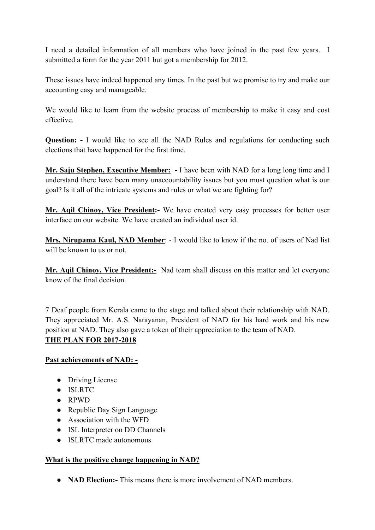I need a detailed information of all members who have joined in the past few years. I submitted a form for the year 2011 but got a membership for 2012.

These issues have indeed happened any times. In the past but we promise to try and make our accounting easy and manageable.

We would like to learn from the website process of membership to make it easy and cost effective.

**Question: -** I would like to see all the NAD Rules and regulations for conducting such elections that have happened for the first time.

**Mr. Saju Stephen, Executive Member: -** I have been with NAD for a long long time and I understand there have been many unaccountability issues but you must question what is our goal? Is it all of the intricate systems and rules or what we are fighting for?

**Mr. Aqil Chinoy, Vice President:-** We have created very easy processes for better user interface on our website. We have created an individual user id.

**Mrs. Nirupama Kaul, NAD Member**: - I would like to know if the no. of users of Nad list will be known to us or not.

**Mr. Aqil Chinoy, Vice President:-** Nad team shall discuss on this matter and let everyone know of the final decision.

7 Deaf people from Kerala came to the stage and talked about their relationship with NAD. They appreciated Mr. A.S. Narayanan, President of NAD for his hard work and his new position at NAD. They also gave a token of their appreciation to the team of NAD. **THE PLAN FOR 2017-2018**

## **Past achievements of NAD: -**

- Driving License
- ISLRTC
- RPWD
- Republic Day Sign Language
- Association with the WFD
- ISL Interpreter on DD Channels
- ISLRTC made autonomous

## **What is the positive change happening in NAD?**

● **NAD Election:-** This means there is more involvement of NAD members.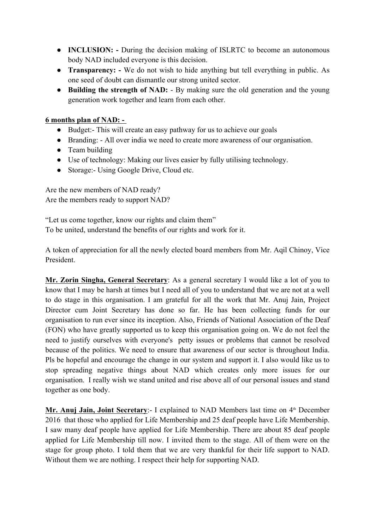- **INCLUSION:** During the decision making of ISLRTC to become an autonomous body NAD included everyone is this decision.
- **Transparency:** We do not wish to hide anything but tell everything in public. As one seed of doubt can dismantle our strong united sector.
- **Building the strength of NAD:** By making sure the old generation and the young generation work together and learn from each other.

#### **6 months plan of NAD: -**

- Budget:- This will create an easy pathway for us to achieve our goals
- Branding: All over india we need to create more awareness of our organisation.
- Team building
- Use of technology: Making our lives easier by fully utilising technology.
- Storage:- Using Google Drive, Cloud etc.

Are the new members of NAD ready? Are the members ready to support NAD?

"Let us come together, know our rights and claim them" To be united, understand the benefits of our rights and work for it.

A token of appreciation for all the newly elected board members from Mr. Aqil Chinoy, Vice President.

**Mr. Zorin Singha, General Secretary**: As a general secretary I would like a lot of you to know that I may be harsh at times but I need all of you to understand that we are not at a well to do stage in this organisation. I am grateful for all the work that Mr. Anuj Jain, Project Director cum Joint Secretary has done so far. He has been collecting funds for our organisation to run ever since its inception. Also, Friends of National Association of the Deaf (FON) who have greatly supported us to keep this organisation going on. We do not feel the need to justify ourselves with everyone's petty issues or problems that cannot be resolved because of the politics. We need to ensure that awareness of our sector is throughout India. Pls be hopeful and encourage the change in our system and support it. I also would like us to stop spreading negative things about NAD which creates only more issues for our organisation. I really wish we stand united and rise above all of our personal issues and stand together as one body.

**Mr. Anuj Jain, Joint Secretary**: I explained to NAD Members last time on 4<sup>th</sup> December 2016 that those who applied for Life Membership and 25 deaf people have Life Membership. I saw many deaf people have applied for Life Membership. There are about 85 deaf people applied for Life Membership till now. I invited them to the stage. All of them were on the stage for group photo. I told them that we are very thankful for their life support to NAD. Without them we are nothing. I respect their help for supporting NAD.